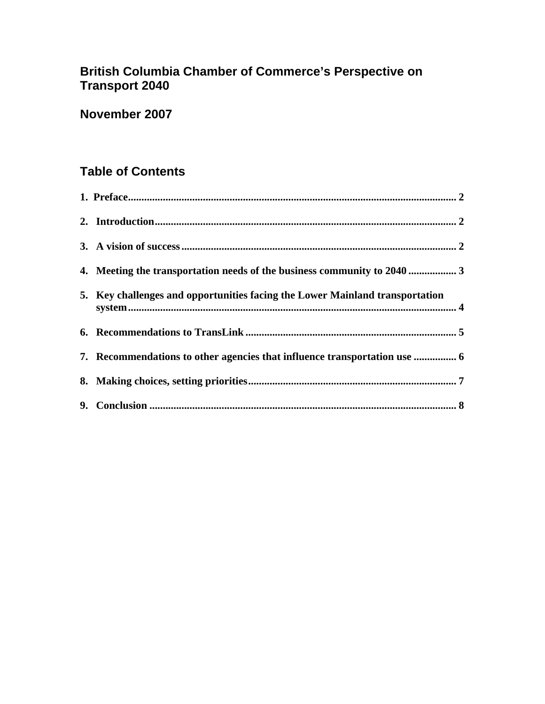# **British Columbia Chamber of Commerce's Perspective on Transport 2040**

# **November 2007**

# **Table of Contents**

| 4. Meeting the transportation needs of the business community to 2040  3     |
|------------------------------------------------------------------------------|
| 5. Key challenges and opportunities facing the Lower Mainland transportation |
|                                                                              |
| 7. Recommendations to other agencies that influence transportation use  6    |
|                                                                              |
|                                                                              |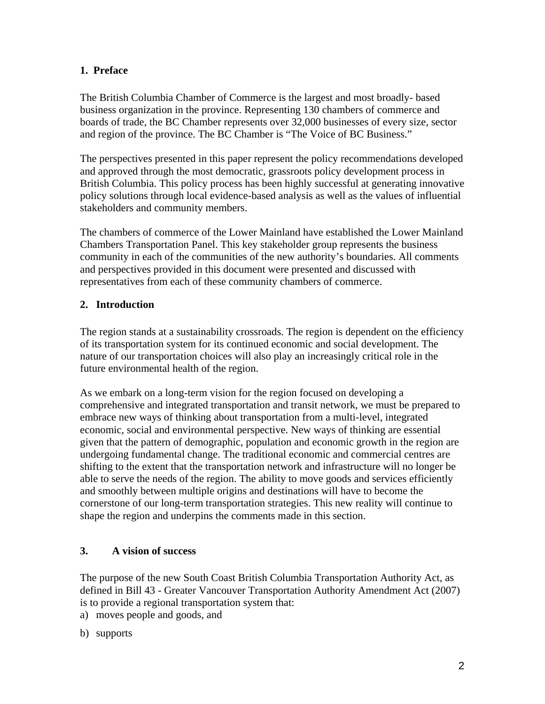# <span id="page-1-0"></span>**1. Preface**

The British Columbia Chamber of Commerce is the largest and most broadly- based business organization in the province. Representing 130 chambers of commerce and boards of trade, the BC Chamber represents over 32,000 businesses of every size, sector and region of the province. The BC Chamber is "The Voice of BC Business."

The perspectives presented in this paper represent the policy recommendations developed and approved through the most democratic, grassroots policy development process in British Columbia. This policy process has been highly successful at generating innovative policy solutions through local evidence-based analysis as well as the values of influential stakeholders and community members.

The chambers of commerce of the Lower Mainland have established the Lower Mainland Chambers Transportation Panel. This key stakeholder group represents the business community in each of the communities of the new authority's boundaries. All comments and perspectives provided in this document were presented and discussed with representatives from each of these community chambers of commerce.

# **2. Introduction**

The region stands at a sustainability crossroads. The region is dependent on the efficiency of its transportation system for its continued economic and social development. The nature of our transportation choices will also play an increasingly critical role in the future environmental health of the region.

As we embark on a long-term vision for the region focused on developing a comprehensive and integrated transportation and transit network, we must be prepared to embrace new ways of thinking about transportation from a multi-level, integrated economic, social and environmental perspective. New ways of thinking are essential given that the pattern of demographic, population and economic growth in the region are undergoing fundamental change. The traditional economic and commercial centres are shifting to the extent that the transportation network and infrastructure will no longer be able to serve the needs of the region. The ability to move goods and services efficiently and smoothly between multiple origins and destinations will have to become the cornerstone of our long-term transportation strategies. This new reality will continue to shape the region and underpins the comments made in this section.

# **3. A vision of success**

The purpose of the new South Coast British Columbia Transportation Authority Act, as defined in Bill 43 - Greater Vancouver Transportation Authority Amendment Act (2007) is to provide a regional transportation system that:

- a) moves people and goods, and
- b) supports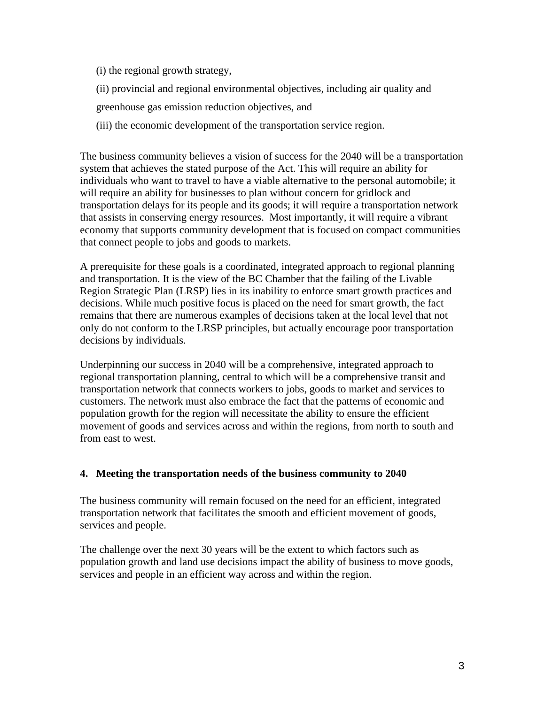- <span id="page-2-0"></span>(i) the regional growth strategy,
- (ii) provincial and regional environmental objectives, including air quality and
- greenhouse gas emission reduction objectives, and
- (iii) the economic development of the transportation service region.

The business community believes a vision of success for the 2040 will be a transportation system that achieves the stated purpose of the Act. This will require an ability for individuals who want to travel to have a viable alternative to the personal automobile; it will require an ability for businesses to plan without concern for gridlock and transportation delays for its people and its goods; it will require a transportation network that assists in conserving energy resources. Most importantly, it will require a vibrant economy that supports community development that is focused on compact communities that connect people to jobs and goods to markets.

A prerequisite for these goals is a coordinated, integrated approach to regional planning and transportation. It is the view of the BC Chamber that the failing of the Livable Region Strategic Plan (LRSP) lies in its inability to enforce smart growth practices and decisions. While much positive focus is placed on the need for smart growth, the fact remains that there are numerous examples of decisions taken at the local level that not only do not conform to the LRSP principles, but actually encourage poor transportation decisions by individuals.

Underpinning our success in 2040 will be a comprehensive, integrated approach to regional transportation planning, central to which will be a comprehensive transit and transportation network that connects workers to jobs, goods to market and services to customers. The network must also embrace the fact that the patterns of economic and population growth for the region will necessitate the ability to ensure the efficient movement of goods and services across and within the regions, from north to south and from east to west.

# **4. Meeting the transportation needs of the business community to 2040**

The business community will remain focused on the need for an efficient, integrated transportation network that facilitates the smooth and efficient movement of goods, services and people.

The challenge over the next 30 years will be the extent to which factors such as population growth and land use decisions impact the ability of business to move goods, services and people in an efficient way across and within the region.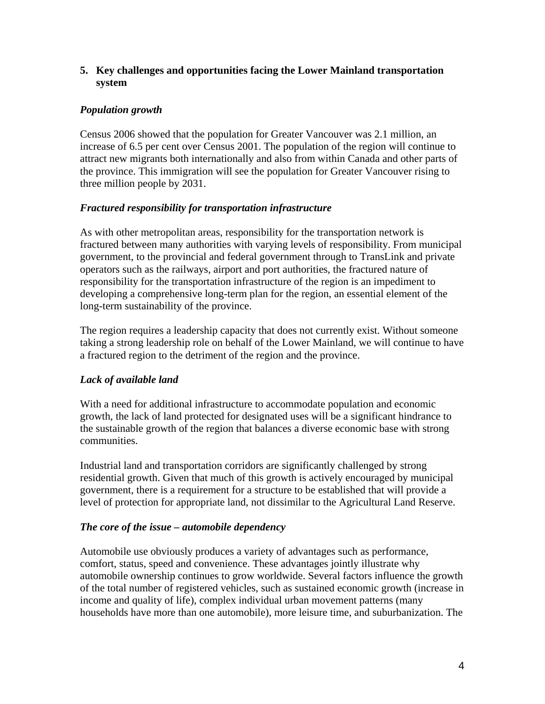### <span id="page-3-0"></span>**5. Key challenges and opportunities facing the Lower Mainland transportation system**

# *Population growth*

Census 2006 showed that the population for Greater Vancouver was 2.1 million, an increase of 6.5 per cent over Census 2001. The population of the region will continue to attract new migrants both internationally and also from within Canada and other parts of the province. This immigration will see the population for Greater Vancouver rising to three million people by 2031.

# *Fractured responsibility for transportation infrastructure*

As with other metropolitan areas, responsibility for the transportation network is fractured between many authorities with varying levels of responsibility. From municipal government, to the provincial and federal government through to TransLink and private operators such as the railways, airport and port authorities, the fractured nature of responsibility for the transportation infrastructure of the region is an impediment to developing a comprehensive long-term plan for the region, an essential element of the long-term sustainability of the province.

The region requires a leadership capacity that does not currently exist. Without someone taking a strong leadership role on behalf of the Lower Mainland, we will continue to have a fractured region to the detriment of the region and the province.

# *Lack of available land*

With a need for additional infrastructure to accommodate population and economic growth, the lack of land protected for designated uses will be a significant hindrance to the sustainable growth of the region that balances a diverse economic base with strong communities.

Industrial land and transportation corridors are significantly challenged by strong residential growth. Given that much of this growth is actively encouraged by municipal government, there is a requirement for a structure to be established that will provide a level of protection for appropriate land, not dissimilar to the Agricultural Land Reserve.

# *The core of the issue – automobile dependency*

Automobile use obviously produces a variety of advantages such as performance, comfort, status, speed and convenience. These advantages jointly illustrate why [automobile ownership continues to grow worldwide](http://people.hofstra.edu/geotrans/eng/ch3en/conc3en/carprodfleet.html). Several factors influence the growth of the total number of registered vehicles, such as sustained economic growth (increase in income and quality of life), complex individual urban movement patterns ([many](http://people.hofstra.edu/geotrans/eng/ch6en/conc6en/USAownershipcars.html)  [households have more than one automobile](http://people.hofstra.edu/geotrans/eng/ch6en/conc6en/USAownershipcars.html)), more leisure time, and suburbanization. The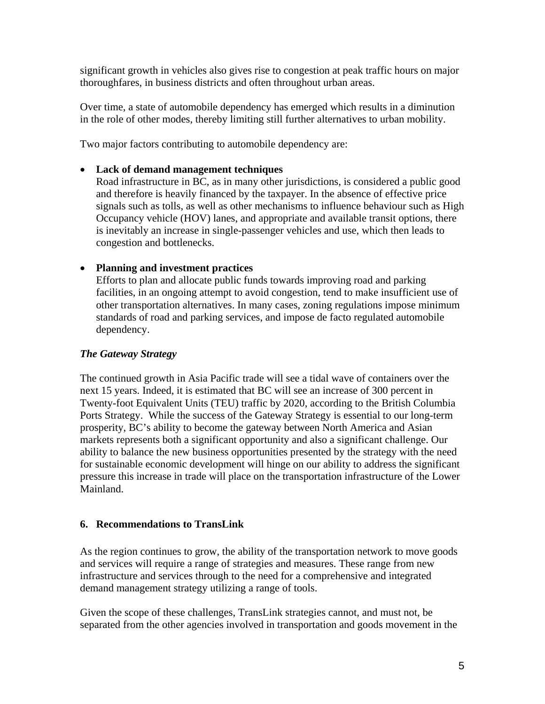<span id="page-4-0"></span>significant growth in vehicles also gives rise to congestion at peak traffic hours on major thoroughfares, in business districts and often throughout urban areas.

Over time, a state of automobile dependency has emerged which results in a diminution in the role of other modes, thereby limiting still further alternatives to urban mobility.

Two major factors contributing to automobile dependency are:

### • **Lack of demand management techniques**

Road infrastructure in BC, as in many other jurisdictions, is considered a public good and therefore is heavily financed by the taxpayer. In the absence of effective price signals such as tolls, as well as other mechanisms to influence behaviour such as High Occupancy vehicle (HOV) lanes, and appropriate and available transit options, there is inevitably an increase in single-passenger vehicles and use, which then leads to congestion and bottlenecks.

# • **Planning and investment practices**

Efforts to plan and allocate public funds towards improving road and parking facilities, in an ongoing attempt to avoid congestion, tend to make insufficient use of other transportation alternatives. In many cases, zoning regulations impose minimum standards of road and parking services, and impose de facto regulated automobile dependency.

# *The Gateway Strategy*

The continued growth in Asia Pacific trade will see a tidal wave of containers over the next 15 years. Indeed, it is estimated that BC will see an increase of 300 percent in Twenty-foot Equivalent Units (TEU) traffic by 2020, according to the British Columbia Ports Strategy. While the success of the Gateway Strategy is essential to our long-term prosperity, BC's ability to become the gateway between North America and Asian markets represents both a significant opportunity and also a significant challenge. Our ability to balance the new business opportunities presented by the strategy with the need for sustainable economic development will hinge on our ability to address the significant pressure this increase in trade will place on the transportation infrastructure of the Lower Mainland.

#### **6. Recommendations to TransLink**

As the region continues to grow, the ability of the transportation network to move goods and services will require a range of strategies and measures. These range from new infrastructure and services through to the need for a comprehensive and integrated demand management strategy utilizing a range of tools.

Given the scope of these challenges, TransLink strategies cannot, and must not, be separated from the other agencies involved in transportation and goods movement in the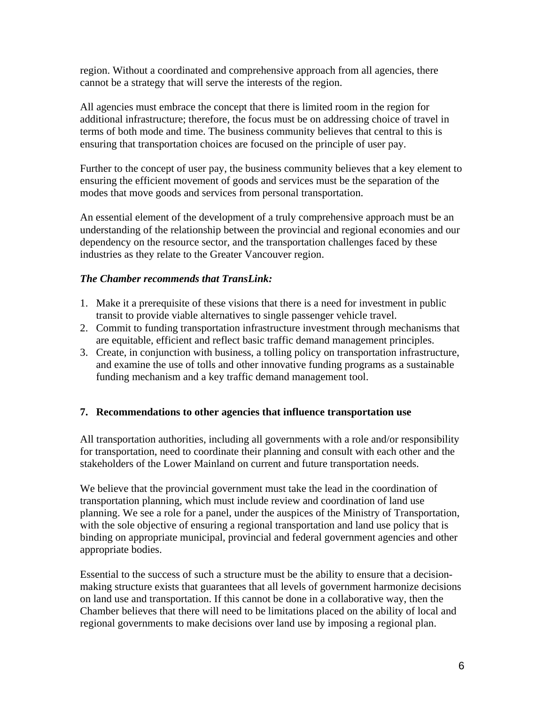<span id="page-5-0"></span>region. Without a coordinated and comprehensive approach from all agencies, there cannot be a strategy that will serve the interests of the region.

All agencies must embrace the concept that there is limited room in the region for additional infrastructure; therefore, the focus must be on addressing choice of travel in terms of both mode and time. The business community believes that central to this is ensuring that transportation choices are focused on the principle of user pay.

Further to the concept of user pay, the business community believes that a key element to ensuring the efficient movement of goods and services must be the separation of the modes that move goods and services from personal transportation.

An essential element of the development of a truly comprehensive approach must be an understanding of the relationship between the provincial and regional economies and our dependency on the resource sector, and the transportation challenges faced by these industries as they relate to the Greater Vancouver region.

# *The Chamber recommends that TransLink:*

- 1. Make it a prerequisite of these visions that there is a need for investment in public transit to provide viable alternatives to single passenger vehicle travel.
- 2. Commit to funding transportation infrastructure investment through mechanisms that are equitable, efficient and reflect basic traffic demand management principles.
- 3. Create, in conjunction with business, a tolling policy on transportation infrastructure, and examine the use of tolls and other innovative funding programs as a sustainable funding mechanism and a key traffic demand management tool.

# **7. Recommendations to other agencies that influence transportation use**

All transportation authorities, including all governments with a role and/or responsibility for transportation, need to coordinate their planning and consult with each other and the stakeholders of the Lower Mainland on current and future transportation needs.

We believe that the provincial government must take the lead in the coordination of transportation planning, which must include review and coordination of land use planning. We see a role for a panel, under the auspices of the Ministry of Transportation, with the sole objective of ensuring a regional transportation and land use policy that is binding on appropriate municipal, provincial and federal government agencies and other appropriate bodies.

Essential to the success of such a structure must be the ability to ensure that a decisionmaking structure exists that guarantees that all levels of government harmonize decisions on land use and transportation. If this cannot be done in a collaborative way, then the Chamber believes that there will need to be limitations placed on the ability of local and regional governments to make decisions over land use by imposing a regional plan.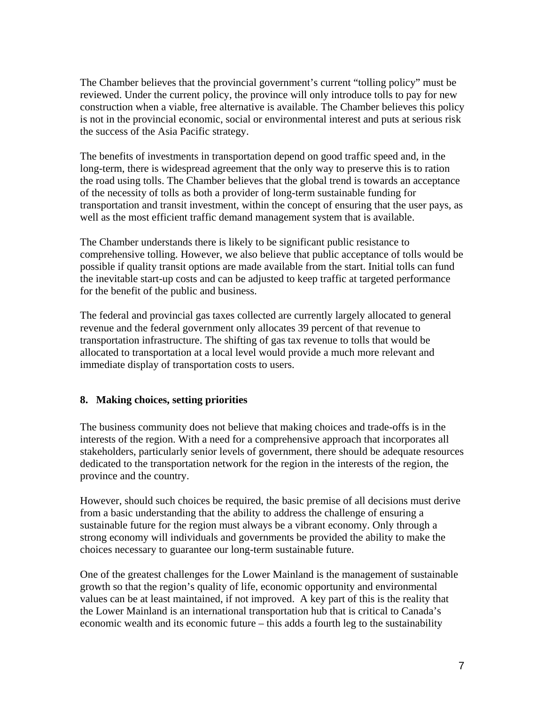<span id="page-6-0"></span>The Chamber believes that the provincial government's current "tolling policy" must be reviewed. Under the current policy, the province will only introduce tolls to pay for new construction when a viable, free alternative is available. The Chamber believes this policy is not in the provincial economic, social or environmental interest and puts at serious risk the success of the Asia Pacific strategy.

The benefits of investments in transportation depend on good traffic speed and, in the long-term, there is widespread agreement that the only way to preserve this is to ration the road using tolls. The Chamber believes that the global trend is towards an acceptance of the necessity of tolls as both a provider of long-term sustainable funding for transportation and transit investment, within the concept of ensuring that the user pays, as well as the most efficient traffic demand management system that is available.

The Chamber understands there is likely to be significant public resistance to comprehensive tolling. However, we also believe that public acceptance of tolls would be possible if quality transit options are made available from the start. Initial tolls can fund the inevitable start-up costs and can be adjusted to keep traffic at targeted performance for the benefit of the public and business.

The federal and provincial gas taxes collected are currently largely allocated to general revenue and the federal government only allocates 39 percent of that revenue to transportation infrastructure. The shifting of gas tax revenue to tolls that would be allocated to transportation at a local level would provide a much more relevant and immediate display of transportation costs to users.

# **8. Making choices, setting priorities**

The business community does not believe that making choices and trade-offs is in the interests of the region. With a need for a comprehensive approach that incorporates all stakeholders, particularly senior levels of government, there should be adequate resources dedicated to the transportation network for the region in the interests of the region, the province and the country.

However, should such choices be required, the basic premise of all decisions must derive from a basic understanding that the ability to address the challenge of ensuring a sustainable future for the region must always be a vibrant economy. Only through a strong economy will individuals and governments be provided the ability to make the choices necessary to guarantee our long-term sustainable future.

One of the greatest challenges for the Lower Mainland is the management of sustainable growth so that the region's quality of life, economic opportunity and environmental values can be at least maintained, if not improved. A key part of this is the reality that the Lower Mainland is an international transportation hub that is critical to Canada's economic wealth and its economic future – this adds a fourth leg to the sustainability